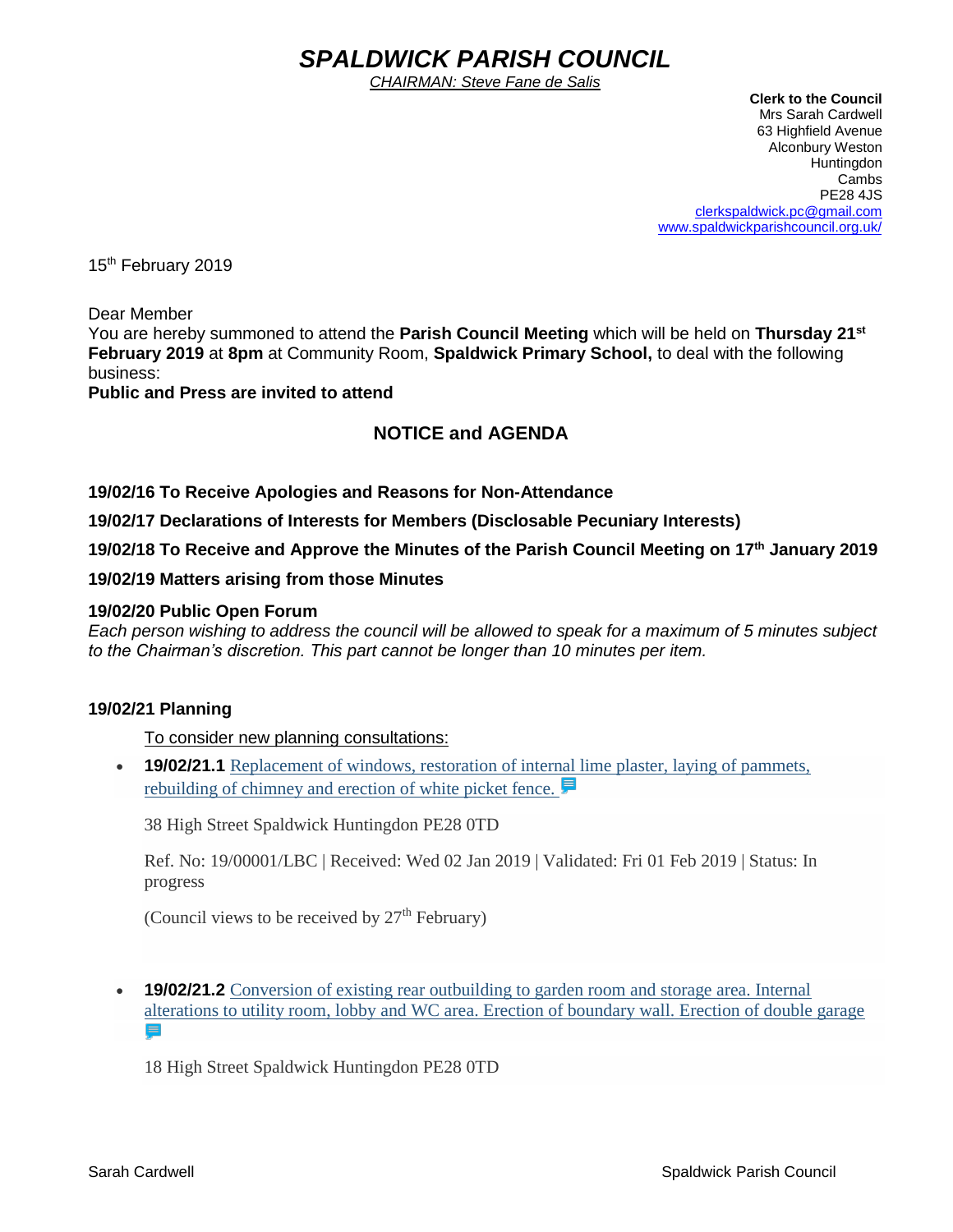# *SPALDWICK PARISH COUNCIL*

*CHAIRMAN: Steve Fane de Salis*

 **Clerk to the Council** Mrs Sarah Cardwell 63 Highfield Avenue Alconbury Weston Huntingdon Cambs PE28 4JS [clerkspaldwick.pc@gmail.com](mailto:clerkspaldwick.pc@gmail.com) [www.spaldwickparishcouncil.org.uk/](http://www.spaldwickparishcouncil.org.uk/)

15<sup>th</sup> February 2019

Dear Member

You are hereby summoned to attend the **Parish Council Meeting** which will be held on **Thursday 21st February 2019** at **8pm** at Community Room, **Spaldwick Primary School,** to deal with the following business:

**Public and Press are invited to attend**

# **NOTICE and AGENDA**

**19/02/16 To Receive Apologies and Reasons for Non-Attendance**

**19/02/17 Declarations of Interests for Members (Disclosable Pecuniary Interests)**

**19/02/18 To Receive and Approve the Minutes of the Parish Council Meeting on 17th January 2019**

**19/02/19 Matters arising from those Minutes**

#### **19/02/20 Public Open Forum**

*Each person wishing to address the council will be allowed to speak for a maximum of 5 minutes subject to the Chairman's discretion. This part cannot be longer than 10 minutes per item.* 

#### **19/02/21 Planning**

To consider new planning consultations:

• **19/02/21.1** Replacement of windows, restoration of internal lime plaster, laying of pammets, [rebuilding of chimney and erection of white picket fence.](https://publicaccess.huntingdonshire.gov.uk/online-applications/applicationDetails.do?keyVal=PKP2A4IKIUH00&activeTab=summary) **■** 

38 High Street Spaldwick Huntingdon PE28 0TD

Ref. No: 19/00001/LBC | Received: Wed 02 Jan 2019 | Validated: Fri 01 Feb 2019 | Status: In progress

(Council views to be received by  $27<sup>th</sup>$  February)

• **19/02/21.2** [Conversion of existing rear outbuilding to garden room and storage area. Internal](https://publicaccess.huntingdonshire.gov.uk/online-applications/applicationDetails.do?keyVal=PKSZY5IKIVP00&activeTab=summary)  [alterations to utility room, lobby and WC area. Erection of boundary wall. Erection of double garage](https://publicaccess.huntingdonshire.gov.uk/online-applications/applicationDetails.do?keyVal=PKSZY5IKIVP00&activeTab=summary) 

18 High Street Spaldwick Huntingdon PE28 0TD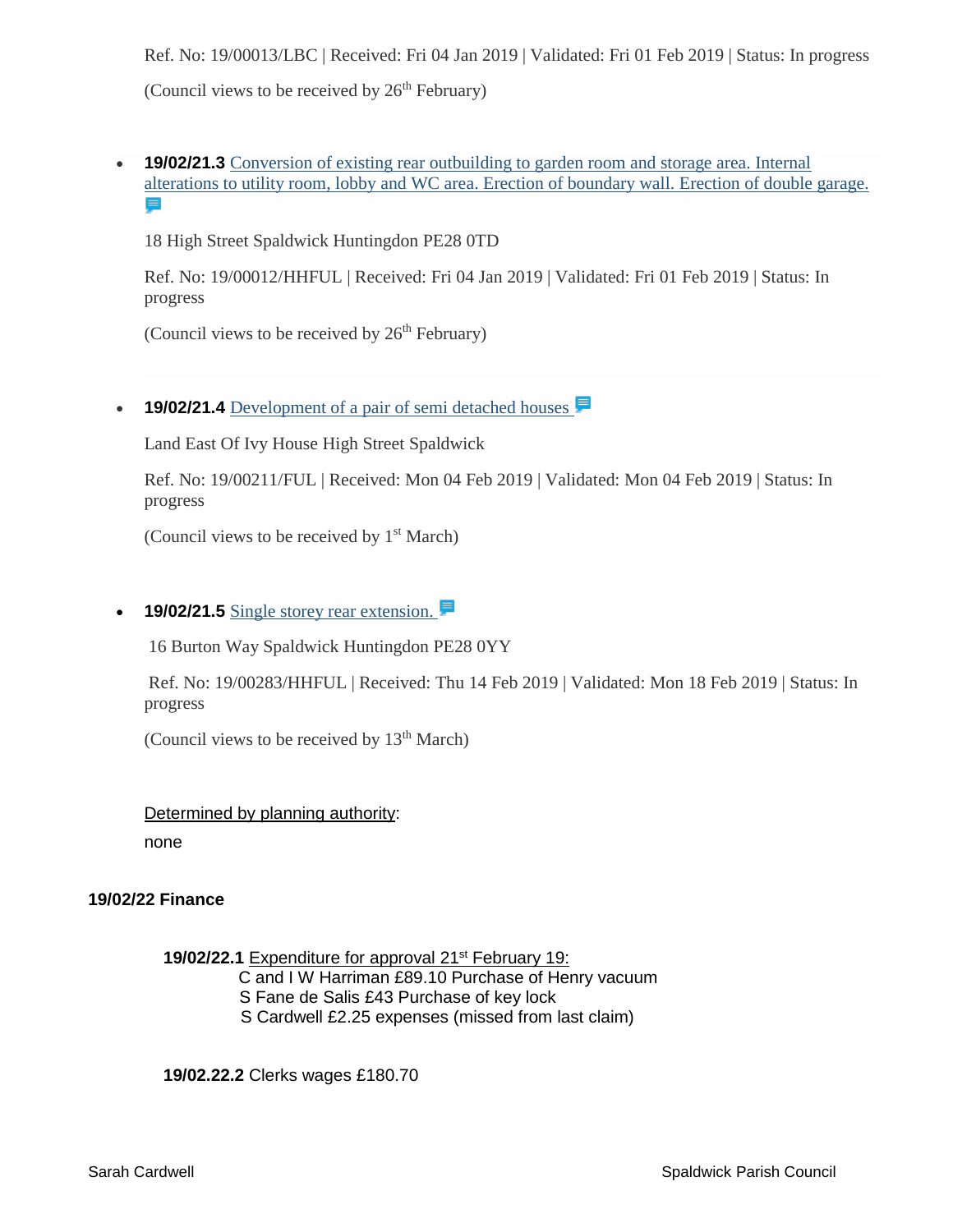Ref. No: 19/00013/LBC | Received: Fri 04 Jan 2019 | Validated: Fri 01 Feb 2019 | Status: In progress (Council views to be received by  $26<sup>th</sup>$  February)

**19/02/21.3** Conversion of existing rear outbuilding to garden room and storage area. Internal [alterations to utility room, lobby and WC area. Erection of boundary wall. Erection of double garage.](https://publicaccess.huntingdonshire.gov.uk/online-applications/applicationDetails.do?keyVal=PKSZY2IKIVO00&activeTab=summary)  E

18 High Street Spaldwick Huntingdon PE28 0TD

Ref. No: 19/00012/HHFUL | Received: Fri 04 Jan 2019 | Validated: Fri 01 Feb 2019 | Status: In progress

(Council views to be received by  $26<sup>th</sup>$  February)

• **19/02/21.4** Development of a pair of semi detached houses

Land East Of Ivy House High Street Spaldwick

Ref. No: 19/00211/FUL | Received: Mon 04 Feb 2019 | Validated: Mon 04 Feb 2019 | Status: In progress

(Council views to be received by  $1<sup>st</sup> March$ )

### • **19/02/21.5** [Single storey rear extension.](https://publicaccess.huntingdonshire.gov.uk/online-applications/applicationDetails.do?keyVal=PMX031IKJO700&activeTab=summary)

16 Burton Way Spaldwick Huntingdon PE28 0YY

Ref. No: 19/00283/HHFUL | Received: Thu 14 Feb 2019 | Validated: Mon 18 Feb 2019 | Status: In progress

(Council views to be received by  $13<sup>th</sup>$  March)

#### Determined by planning authority:

none

#### **19/02/22 Finance**

**19/02/22.1** Expenditure for approval 21st February 19:

C and I W Harriman £89.10 Purchase of Henry vacuum

- S Fane de Salis £43 Purchase of key lock
- S Cardwell £2.25 expenses (missed from last claim)

**19/02.22.2** Clerks wages £180.70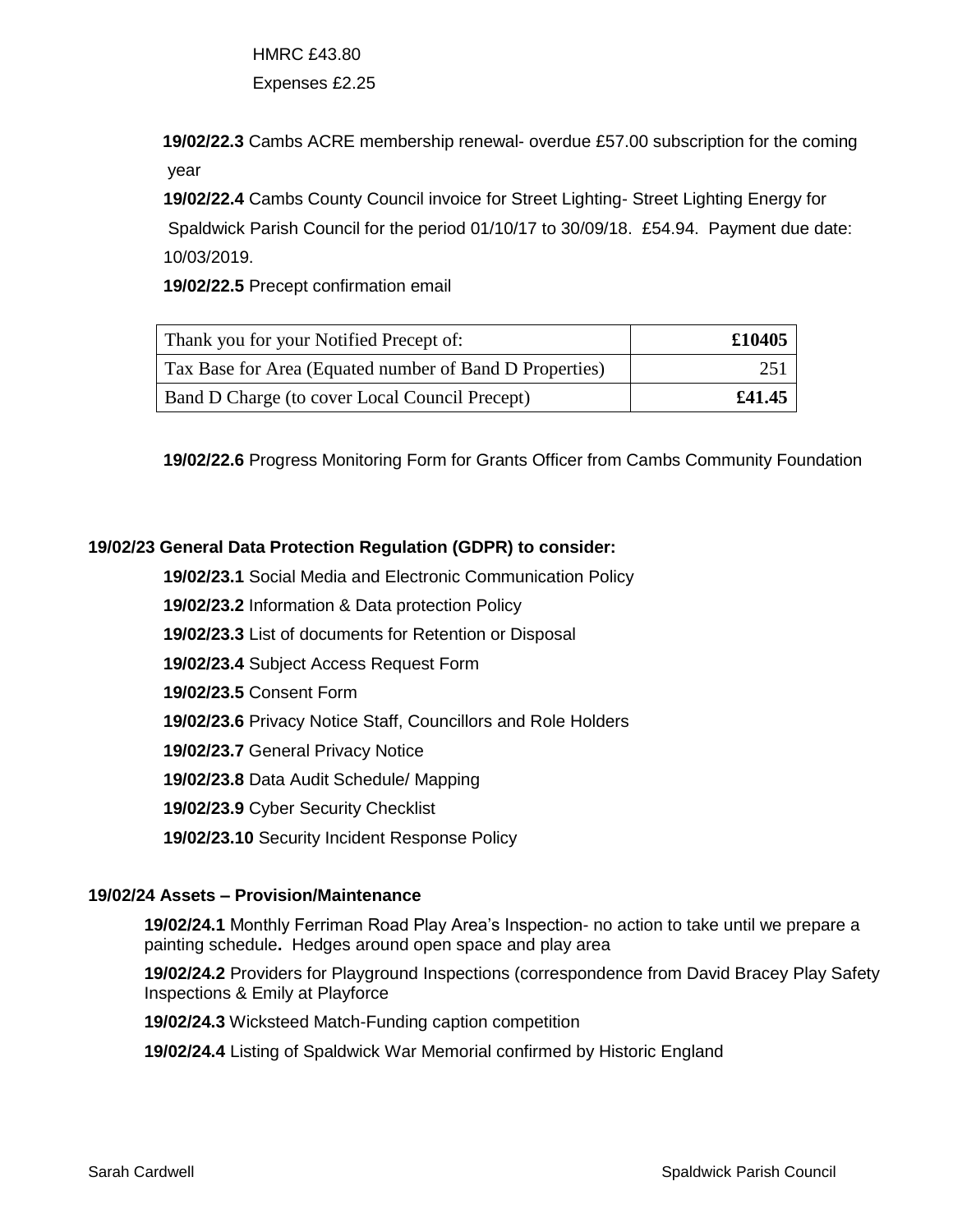HMRC £43.80 Expenses £2.25

**19/02/22.3** Cambs ACRE membership renewal- overdue £57.00 subscription for the coming year

 **19/02/22.4** Cambs County Council invoice for Street Lighting- Street Lighting Energy for Spaldwick Parish Council for the period 01/10/17 to 30/09/18. £54.94. Payment due date: 10/03/2019.

 **19/02/22.5** Precept confirmation email

| Thank you for your Notified Precept of:                 | £10405 |
|---------------------------------------------------------|--------|
| Tax Base for Area (Equated number of Band D Properties) | 251    |
| Band D Charge (to cover Local Council Precept)          | £41.45 |

**19/02/22.6** Progress Monitoring Form for Grants Officer from Cambs Community Foundation

## **19/02/23 General Data Protection Regulation (GDPR) to consider:**

**19/02/23.1** Social Media and Electronic Communication Policy

 **19/02/23.2** Information & Data protection Policy

 **19/02/23.3** List of documents for Retention or Disposal

 **19/02/23.4** Subject Access Request Form

 **19/02/23.5** Consent Form

 **19/02/23.6** Privacy Notice Staff, Councillors and Role Holders

 **19/02/23.7** General Privacy Notice

 **19/02/23.8** Data Audit Schedule/ Mapping

 **19/02/23.9** Cyber Security Checklist

 **19/02/23.10** Security Incident Response Policy

#### **19/02/24 Assets – Provision/Maintenance**

**19/02/24.1** Monthly Ferriman Road Play Area's Inspection- no action to take until we prepare a painting schedule**.** Hedges around open space and play area

**19/02/24.2** Providers for Playground Inspections (correspondence from David Bracey Play Safety Inspections & Emily at Playforce

**19/02/24.3** Wicksteed Match-Funding caption competition

**19/02/24.4** Listing of Spaldwick War Memorial confirmed by Historic England